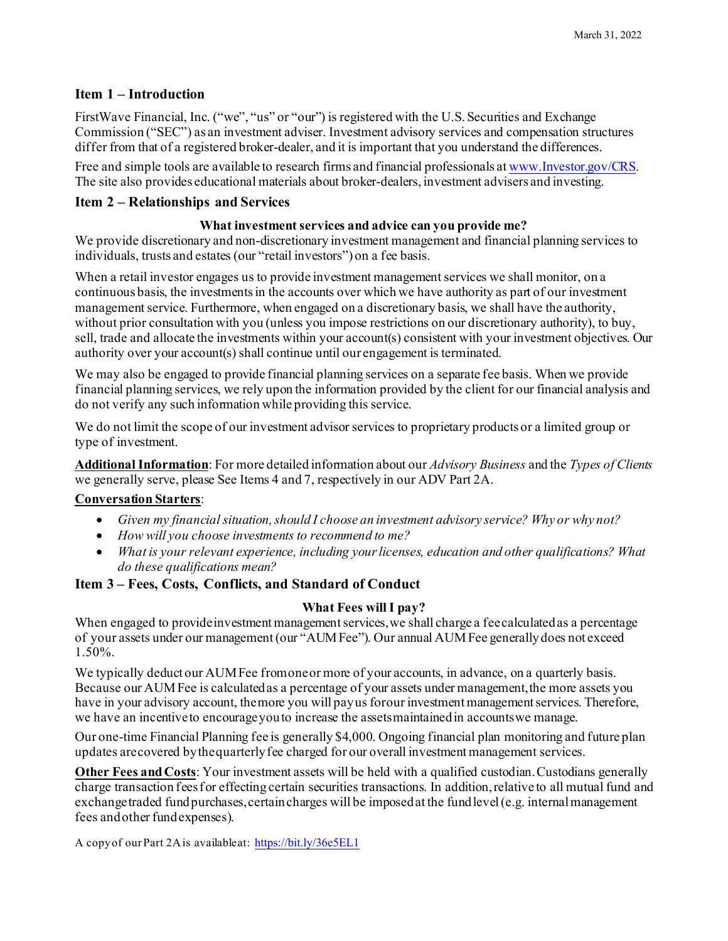## **Item 1 – Introduction**

FirstWave Financial, Inc. ("we", "us" or "our") is registered with the U.S. Securities and Exchange Commission ("SEC") as an investment adviser. Investment advisory services and compensation structures differ from that of a registered broker-dealer, and it is important that you understand the differences.

Free and simple tools are available to research firms and financial professionals a[t www.Investor.gov/CRS.](http://www.investor.gov/CRS) The site also provides educational materials about broker-dealers, investment advisers and investing.

## **Item 2 – Relationships and Services**

### **What investment services and advice can you provide me?**

We provide discretionary and non-discretionary investment management and financial planning services to individuals, trusts and estates (our "retail investors") on a fee basis.

When a retail investor engages us to provide investment management services we shall monitor, on a continuous basis, the investments in the accounts over which we have authority as part of our investment management service. Furthermore, when engaged on a discretionary basis, we shall have the authority, without prior consultation with you (unless you impose restrictions on our discretionary authority), to buy, sell, trade and allocate the investments within your account(s) consistent with your investment objectives. Our authority over your account(s) shall continue until our engagement is terminated.

We may also be engaged to provide financial planning services on a separate fee basis. When we provide financial planning services, we rely upon the information provided by the client for our financial analysis and do not verify any such information while providing this service.

We do not limit the scope of our investment advisor services to proprietary products or a limited group or type of investment.

**Additional Information**: For more detailed information about our *Advisory Business* and the *Types of Clients* we generally serve, please See Items 4 and 7, respectively in our ADV Part 2A.

### **Conversation Starters**:

- *Given my financial situation, should I choose an investment advisory service? Why or why not?*
- *How will you choose investments to recommend to me?*
- *What is your relevant experience, including your licenses, education and other qualifications? What do these qualifications mean?*

### **Item 3 – Fees, Costs, Conflicts, and Standard of Conduct**

### **What Fees willI pay?**

When engaged to provide investment management services, we shall charge a feecalculated as a percentage of your assets under our management(our "AUMFee"). Our annual AUMFee generallydoes not exceed 1.50%.

We typically deduct our AUMFee fromoneor more of your accounts, in advance, on a quarterly basis. Because our AUMFee is calculatedas a percentage of your assets under management, the more assets you have in your advisory account, themore you will payus forour investment management services. Therefore, we have an incentiveto encourageyou to increase the assetsmaintainedin accountswe manage.

Our one-time Financial Planning fee is generally \$4,000. Ongoing financial plan monitoring and future plan updates arecovered bythequarterlyfee charged for our overall investment management services.

**Other Fees andCosts**: Your investment assets will be held with a qualified custodian. Custodians generally charge transaction feesfor effecting certain securities transactions. In addition, relative to all mutual fund and exchangetraded fund purchases, certain charges will be imposed at the fund level (e.g. internal management fees andother fundexpenses).

A copyof our Part 2Ais availableat: <https://bit.ly/36e5EL1>